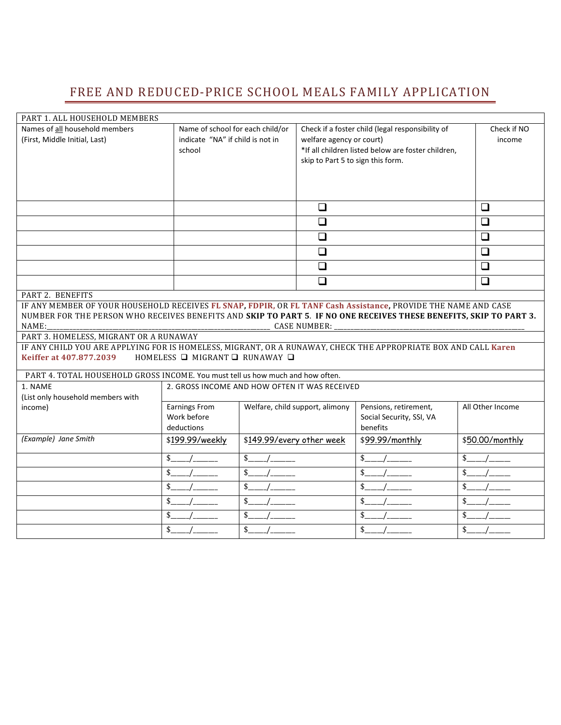## FREE AND REDUCED-PRICE SCHOOL MEALS FAMILY APPLICATION

| PART 1. ALL HOUSEHOLD MEMBERS                                                                                      |                                               |                           |                                   |                                                    |                  |  |
|--------------------------------------------------------------------------------------------------------------------|-----------------------------------------------|---------------------------|-----------------------------------|----------------------------------------------------|------------------|--|
| Names of all household members                                                                                     | Name of school for each child/or              |                           |                                   | Check if a foster child (legal responsibility of   | Check if NO      |  |
| (First, Middle Initial, Last)                                                                                      | indicate "NA" if child is not in              |                           | welfare agency or court)          |                                                    | income           |  |
|                                                                                                                    | school                                        |                           |                                   | *If all children listed below are foster children, |                  |  |
|                                                                                                                    |                                               |                           | skip to Part 5 to sign this form. |                                                    |                  |  |
|                                                                                                                    |                                               |                           |                                   |                                                    |                  |  |
|                                                                                                                    |                                               |                           |                                   |                                                    |                  |  |
|                                                                                                                    |                                               |                           |                                   |                                                    |                  |  |
|                                                                                                                    |                                               |                           | $\Box$                            |                                                    | $\Box$           |  |
|                                                                                                                    |                                               |                           | $\Box$                            |                                                    | ❏                |  |
|                                                                                                                    |                                               |                           | $\Box$                            |                                                    | $\Box$           |  |
|                                                                                                                    |                                               |                           | $\Box$                            |                                                    | ❏                |  |
|                                                                                                                    |                                               |                           | $\Box$                            |                                                    | $\Box$           |  |
|                                                                                                                    |                                               |                           | $\Box$                            |                                                    | $\Box$           |  |
| PART 2. BENEFITS                                                                                                   |                                               |                           |                                   |                                                    |                  |  |
| IF ANY MEMBER OF YOUR HOUSEHOLD RECEIVES FL SNAP, FDPIR, OR FL TANF Cash Assistance, PROVIDE THE NAME AND CASE     |                                               |                           |                                   |                                                    |                  |  |
| NUMBER FOR THE PERSON WHO RECEIVES BENEFITS AND SKIP TO PART 5. IF NO ONE RECEIVES THESE BENEFITS, SKIP TO PART 3. |                                               |                           |                                   |                                                    |                  |  |
| NAME:<br><b>CASE NUMBER:</b>                                                                                       |                                               |                           |                                   |                                                    |                  |  |
| PART 3. HOMELESS, MIGRANT OR A RUNAWAY                                                                             |                                               |                           |                                   |                                                    |                  |  |
| IF ANY CHILD YOU ARE APPLYING FOR IS HOMELESS, MIGRANT, OR A RUNAWAY, CHECK THE APPROPRIATE BOX AND CALL Karen     |                                               |                           |                                   |                                                    |                  |  |
| Keiffer at 407.877.2039                                                                                            | HOMELESS Q MIGRANT Q RUNAWAY Q                |                           |                                   |                                                    |                  |  |
| PART 4. TOTAL HOUSEHOLD GROSS INCOME. You must tell us how much and how often.                                     |                                               |                           |                                   |                                                    |                  |  |
| 1. NAME                                                                                                            | 2. GROSS INCOME AND HOW OFTEN IT WAS RECEIVED |                           |                                   |                                                    |                  |  |
| (List only household members with                                                                                  |                                               |                           |                                   |                                                    |                  |  |
| income)                                                                                                            | <b>Earnings From</b>                          |                           | Welfare, child support, alimony   | Pensions, retirement,                              | All Other Income |  |
|                                                                                                                    | Work before                                   |                           |                                   | Social Security, SSI, VA                           |                  |  |
|                                                                                                                    | deductions                                    |                           |                                   | benefits                                           |                  |  |
| (Example) Jane Smith                                                                                               | \$199.99/weekly                               | \$149.99/every other week |                                   | \$99.99/monthly                                    | \$50.00/monthly  |  |
|                                                                                                                    | \$                                            | $\frac{1}{2}$             |                                   | \$                                                 | \$               |  |
|                                                                                                                    | \$                                            | \$                        |                                   | \$                                                 | \$               |  |
|                                                                                                                    | \$                                            | \$.                       |                                   | \$                                                 | \$               |  |
|                                                                                                                    | \$                                            | \$                        |                                   | \$                                                 | \$               |  |
|                                                                                                                    | \$                                            | \$                        |                                   | \$                                                 | \$               |  |
|                                                                                                                    | \$                                            | \$                        |                                   | \$                                                 | \$               |  |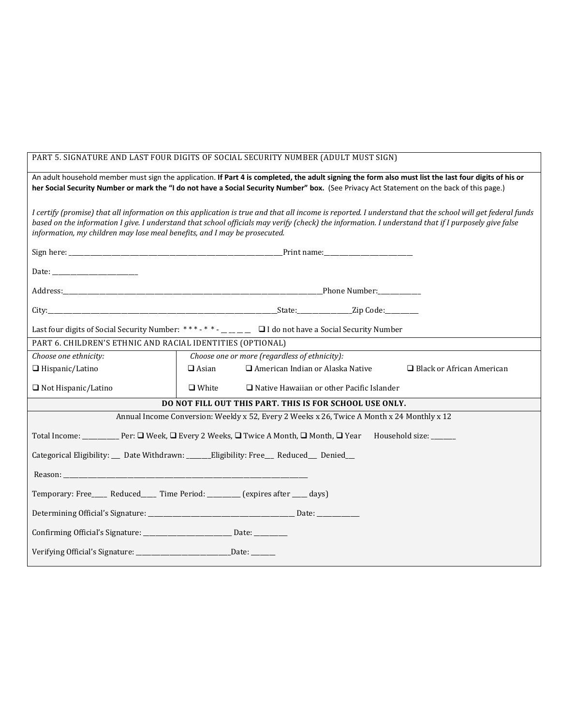| PART 5. SIGNATURE AND LAST FOUR DIGITS OF SOCIAL SECURITY NUMBER (ADULT MUST SIGN)                                                                                                                                                                                                                                                                                                            |                                                                                             |  |  |  |  |
|-----------------------------------------------------------------------------------------------------------------------------------------------------------------------------------------------------------------------------------------------------------------------------------------------------------------------------------------------------------------------------------------------|---------------------------------------------------------------------------------------------|--|--|--|--|
| An adult household member must sign the application. If Part 4 is completed, the adult signing the form also must list the last four digits of his or<br>her Social Security Number or mark the "I do not have a Social Security Number" box. (See Privacy Act Statement on the back of this page.)                                                                                           |                                                                                             |  |  |  |  |
| I certify (promise) that all information on this application is true and that all income is reported. I understand that the school will get federal funds<br>based on the information I give. I understand that school officials may verify (check) the information. I understand that if I purposely give false<br>information, my children may lose meal benefits, and I may be prosecuted. |                                                                                             |  |  |  |  |
|                                                                                                                                                                                                                                                                                                                                                                                               |                                                                                             |  |  |  |  |
| Date: <u>__________________________________</u>                                                                                                                                                                                                                                                                                                                                               |                                                                                             |  |  |  |  |
|                                                                                                                                                                                                                                                                                                                                                                                               |                                                                                             |  |  |  |  |
|                                                                                                                                                                                                                                                                                                                                                                                               |                                                                                             |  |  |  |  |
| Last four digits of Social Security Number: ***-* * - _ _ _ _ _ _ _ _ D I do not have a Social Security Number                                                                                                                                                                                                                                                                                |                                                                                             |  |  |  |  |
| PART 6. CHILDREN'S ETHNIC AND RACIAL IDENTITIES (OPTIONAL)                                                                                                                                                                                                                                                                                                                                    |                                                                                             |  |  |  |  |
| Choose one ethnicity:                                                                                                                                                                                                                                                                                                                                                                         | Choose one or more (regardless of ethnicity):                                               |  |  |  |  |
| $\Box$ Hispanic/Latino                                                                                                                                                                                                                                                                                                                                                                        | $\Box$ Asian<br>$\Box$ American Indian or Alaska Native<br>$\Box$ Black or African American |  |  |  |  |
| $\Box$ Not Hispanic/Latino                                                                                                                                                                                                                                                                                                                                                                    | $\Box$ White<br>$\Box$ Native Hawaiian or other Pacific Islander                            |  |  |  |  |
| DO NOT FILL OUT THIS PART. THIS IS FOR SCHOOL USE ONLY.                                                                                                                                                                                                                                                                                                                                       |                                                                                             |  |  |  |  |
| Annual Income Conversion: Weekly x 52, Every 2 Weeks x 26, Twice A Month x 24 Monthly x 12                                                                                                                                                                                                                                                                                                    |                                                                                             |  |  |  |  |
|                                                                                                                                                                                                                                                                                                                                                                                               |                                                                                             |  |  |  |  |
| Categorical Eligibility: __ Date Withdrawn: ______Eligibility: Free___ Reduced__ Denied__                                                                                                                                                                                                                                                                                                     |                                                                                             |  |  |  |  |
| Reason: New York and the Committee of the Committee of the Committee of the Committee of the Committee of the Committee of the Committee of the Committee of the Committee of the Committee of the Committee of the Committee                                                                                                                                                                 |                                                                                             |  |  |  |  |
| Temporary: Free____ Reduced____ Time Period: _______ (expires after ___ days)                                                                                                                                                                                                                                                                                                                 |                                                                                             |  |  |  |  |
|                                                                                                                                                                                                                                                                                                                                                                                               |                                                                                             |  |  |  |  |
| Confirming Official's Signature: ______________________________ Date: __________                                                                                                                                                                                                                                                                                                              |                                                                                             |  |  |  |  |
| Verifying Official's Signature: __________________________________Date: ________                                                                                                                                                                                                                                                                                                              |                                                                                             |  |  |  |  |